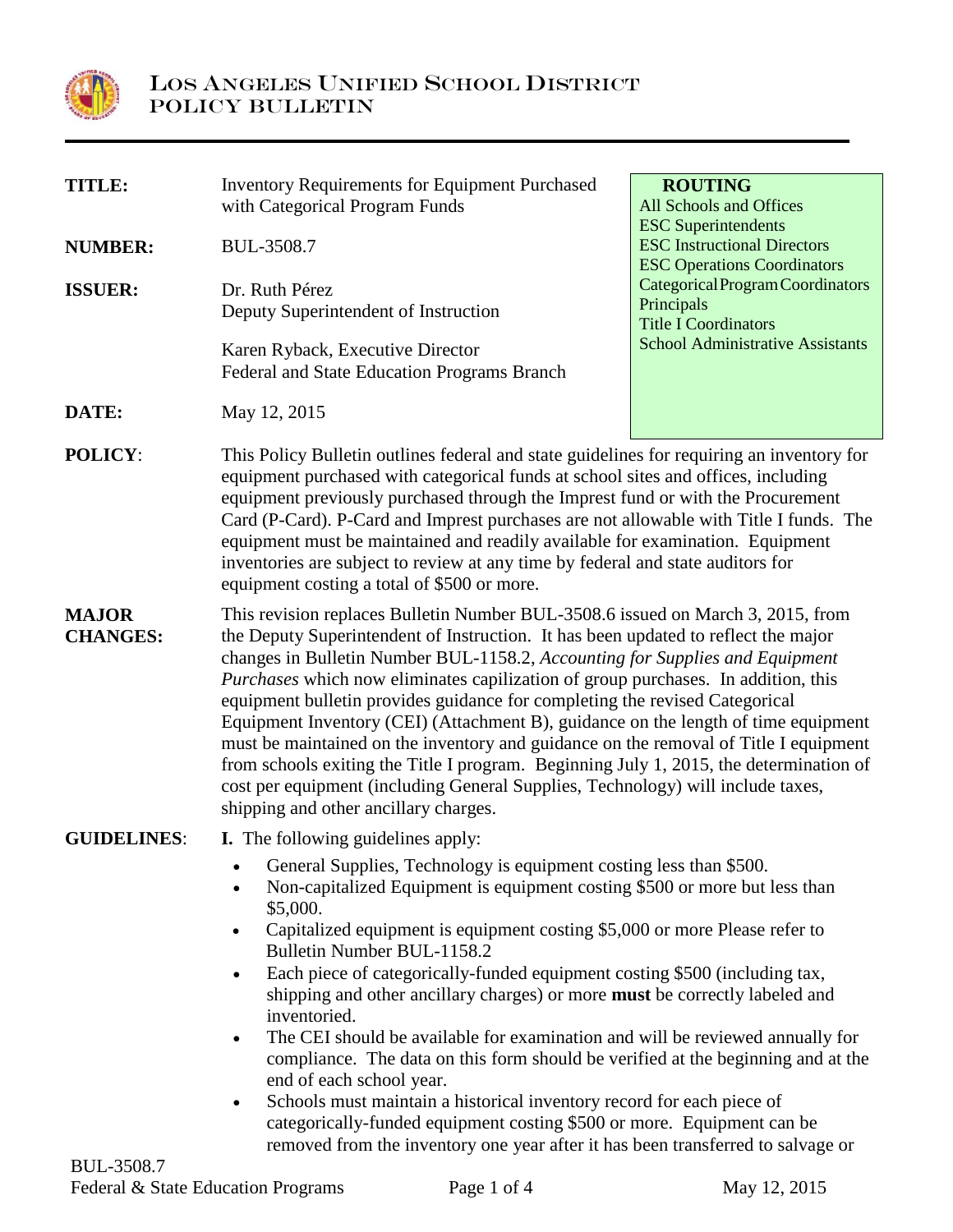

| <b>TITLE:</b>                   |                                                                                                                                                                                                                                                                                                                                                                                                                                                                                                                                                                                                                                                                                                                                                                                                                                      | <b>ROUTING</b>                          |
|---------------------------------|--------------------------------------------------------------------------------------------------------------------------------------------------------------------------------------------------------------------------------------------------------------------------------------------------------------------------------------------------------------------------------------------------------------------------------------------------------------------------------------------------------------------------------------------------------------------------------------------------------------------------------------------------------------------------------------------------------------------------------------------------------------------------------------------------------------------------------------|-----------------------------------------|
|                                 | <b>Inventory Requirements for Equipment Purchased</b>                                                                                                                                                                                                                                                                                                                                                                                                                                                                                                                                                                                                                                                                                                                                                                                | All Schools and Offices                 |
|                                 | with Categorical Program Funds                                                                                                                                                                                                                                                                                                                                                                                                                                                                                                                                                                                                                                                                                                                                                                                                       | <b>ESC</b> Superintendents              |
| <b>NUMBER:</b>                  | BUL-3508.7                                                                                                                                                                                                                                                                                                                                                                                                                                                                                                                                                                                                                                                                                                                                                                                                                           | <b>ESC Instructional Directors</b>      |
|                                 |                                                                                                                                                                                                                                                                                                                                                                                                                                                                                                                                                                                                                                                                                                                                                                                                                                      | <b>ESC Operations Coordinators</b>      |
|                                 |                                                                                                                                                                                                                                                                                                                                                                                                                                                                                                                                                                                                                                                                                                                                                                                                                                      | Categorical Program Coordinators        |
| <b>ISSUER:</b>                  | Dr. Ruth Pérez                                                                                                                                                                                                                                                                                                                                                                                                                                                                                                                                                                                                                                                                                                                                                                                                                       | Principals                              |
|                                 | Deputy Superintendent of Instruction                                                                                                                                                                                                                                                                                                                                                                                                                                                                                                                                                                                                                                                                                                                                                                                                 | <b>Title I Coordinators</b>             |
|                                 | Karen Ryback, Executive Director                                                                                                                                                                                                                                                                                                                                                                                                                                                                                                                                                                                                                                                                                                                                                                                                     | <b>School Administrative Assistants</b> |
|                                 | Federal and State Education Programs Branch                                                                                                                                                                                                                                                                                                                                                                                                                                                                                                                                                                                                                                                                                                                                                                                          |                                         |
|                                 |                                                                                                                                                                                                                                                                                                                                                                                                                                                                                                                                                                                                                                                                                                                                                                                                                                      |                                         |
| DATE:                           | May 12, 2015                                                                                                                                                                                                                                                                                                                                                                                                                                                                                                                                                                                                                                                                                                                                                                                                                         |                                         |
| <b>POLICY:</b>                  | This Policy Bulletin outlines federal and state guidelines for requiring an inventory for<br>equipment purchased with categorical funds at school sites and offices, including<br>equipment previously purchased through the Imprest fund or with the Procurement<br>Card (P-Card). P-Card and Imprest purchases are not allowable with Title I funds. The<br>equipment must be maintained and readily available for examination. Equipment<br>inventories are subject to review at any time by federal and state auditors for<br>equipment costing a total of \$500 or more.                                                                                                                                                                                                                                                        |                                         |
| <b>MAJOR</b><br><b>CHANGES:</b> | This revision replaces Bulletin Number BUL-3508.6 issued on March 3, 2015, from<br>the Deputy Superintendent of Instruction. It has been updated to reflect the major<br>changes in Bulletin Number BUL-1158.2, Accounting for Supplies and Equipment<br><i>Purchases</i> which now eliminates capilization of group purchases. In addition, this<br>equipment bulletin provides guidance for completing the revised Categorical<br>Equipment Inventory (CEI) (Attachment B), guidance on the length of time equipment<br>must be maintained on the inventory and guidance on the removal of Title I equipment<br>from schools exiting the Title I program. Beginning July 1, 2015, the determination of<br>cost per equipment (including General Supplies, Technology) will include taxes,<br>shipping and other ancillary charges. |                                         |
| <b>GUIDELINES:</b>              | <b>I.</b> The following guidelines apply:                                                                                                                                                                                                                                                                                                                                                                                                                                                                                                                                                                                                                                                                                                                                                                                            |                                         |
|                                 | General Supplies, Technology is equipment costing less than \$500.<br>Non-capitalized Equipment is equipment costing \$500 or more but less than<br>\$5,000.<br>Capitalized equipment is equipment costing \$5,000 or more Please refer to<br>$\bullet$<br>Bulletin Number BUL-1158.2                                                                                                                                                                                                                                                                                                                                                                                                                                                                                                                                                |                                         |
|                                 | Each piece of categorically-funded equipment costing \$500 (including tax,<br>$\bullet$<br>shipping and other ancillary charges) or more <b>must</b> be correctly labeled and<br>inventoried.                                                                                                                                                                                                                                                                                                                                                                                                                                                                                                                                                                                                                                        |                                         |
|                                 | The CEI should be available for examination and will be reviewed annually for<br>$\bullet$<br>compliance. The data on this form should be verified at the beginning and at the<br>end of each school year.                                                                                                                                                                                                                                                                                                                                                                                                                                                                                                                                                                                                                           |                                         |
|                                 | Schools must maintain a historical inventory record for each piece of<br>$\bullet$<br>categorically-funded equipment costing \$500 or more. Equipment can be                                                                                                                                                                                                                                                                                                                                                                                                                                                                                                                                                                                                                                                                         |                                         |
|                                 |                                                                                                                                                                                                                                                                                                                                                                                                                                                                                                                                                                                                                                                                                                                                                                                                                                      |                                         |
|                                 | removed from the inventory one year after it has been transferred to salvage or                                                                                                                                                                                                                                                                                                                                                                                                                                                                                                                                                                                                                                                                                                                                                      |                                         |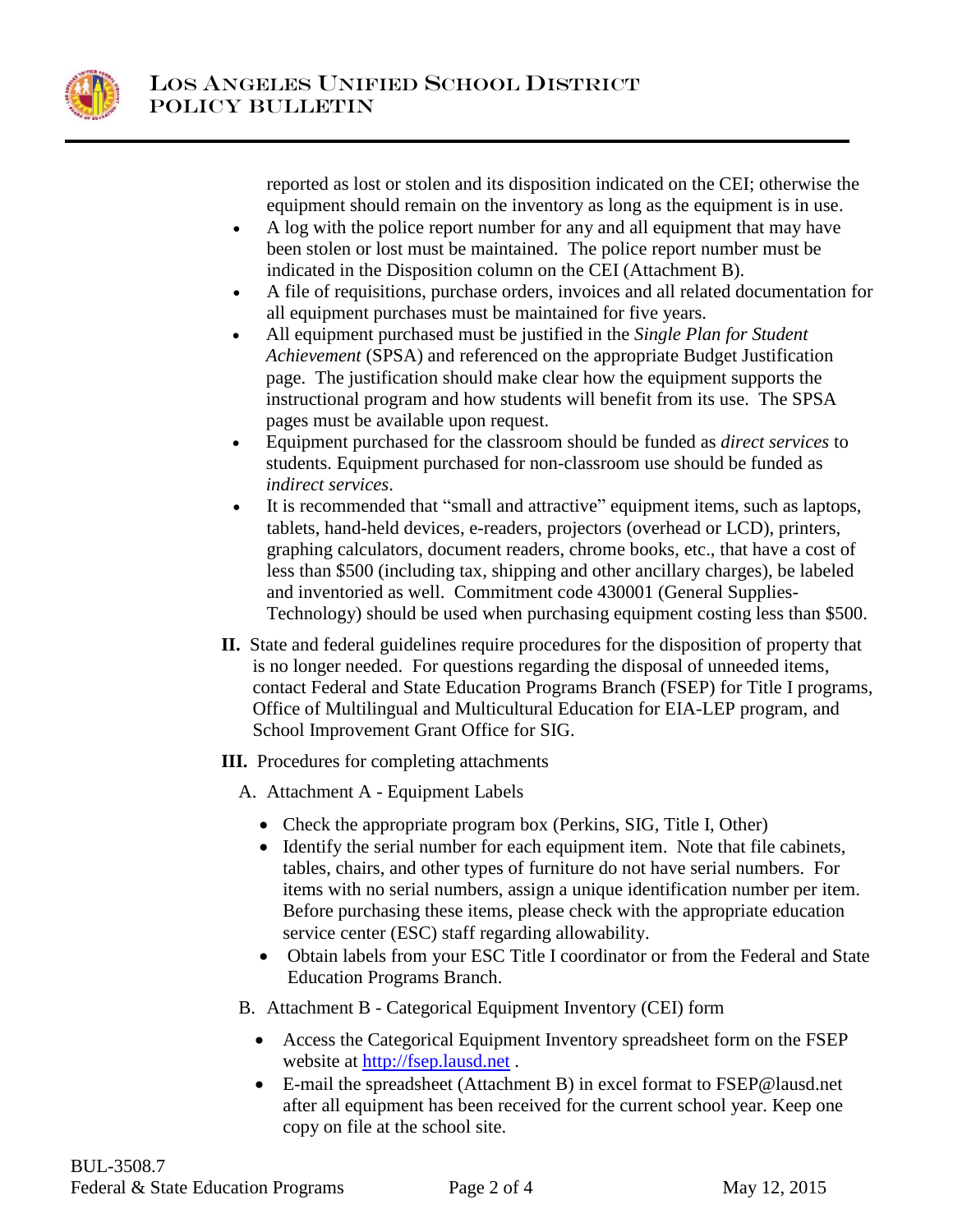

reported as lost or stolen and its disposition indicated on the CEI; otherwise the equipment should remain on the inventory as long as the equipment is in use.

- A log with the police report number for any and all equipment that may have been stolen or lost must be maintained. The police report number must be indicated in the Disposition column on the CEI (Attachment B).
- A file of requisitions, purchase orders, invoices and all related documentation for all equipment purchases must be maintained for five years.
- All equipment purchased must be justified in the *Single Plan for Student Achievement* (SPSA) and referenced on the appropriate Budget Justification page. The justification should make clear how the equipment supports the instructional program and how students will benefit from its use. The SPSA pages must be available upon request.
- Equipment purchased for the classroom should be funded as *direct services* to students. Equipment purchased for non-classroom use should be funded as *indirect services*.
- It is recommended that "small and attractive" equipment items, such as laptops, tablets, hand-held devices, e-readers, projectors (overhead or LCD), printers, graphing calculators, document readers, chrome books, etc., that have a cost of less than \$500 (including tax, shipping and other ancillary charges), be labeled and inventoried as well. Commitment code 430001 (General Supplies-Technology) should be used when purchasing equipment costing less than \$500.
- **II.** State and federal guidelines require procedures for the disposition of property that is no longer needed. For questions regarding the disposal of unneeded items, contact Federal and State Education Programs Branch (FSEP) for Title I programs, Office of Multilingual and Multicultural Education for EIA-LEP program, and School Improvement Grant Office for SIG.

**III.** Procedures for completing attachments

- A. Attachment A Equipment Labels
	- Check the appropriate program box (Perkins, SIG, Title I, Other)
	- Identify the serial number for each equipment item. Note that file cabinets, tables, chairs, and other types of furniture do not have serial numbers. For items with no serial numbers, assign a unique identification number per item. Before purchasing these items, please check with the appropriate education service center (ESC) staff regarding allowability.
	- Obtain labels from your ESC Title I coordinator or from the Federal and State Education Programs Branch.
- B. Attachment B Categorical Equipment Inventory (CEI) form
	- Access the Categorical Equipment Inventory spreadsheet form on the FSEP website at [http://fsep.lausd.net](http://fsep.lausd.net/) .
	- E-mail the spreadsheet (Attachment B) in excel format to [FSEP@lausd.net](mailto:fsep@lausd.net) after all equipment has been received for the current school year. Keep one copy on file at the school site.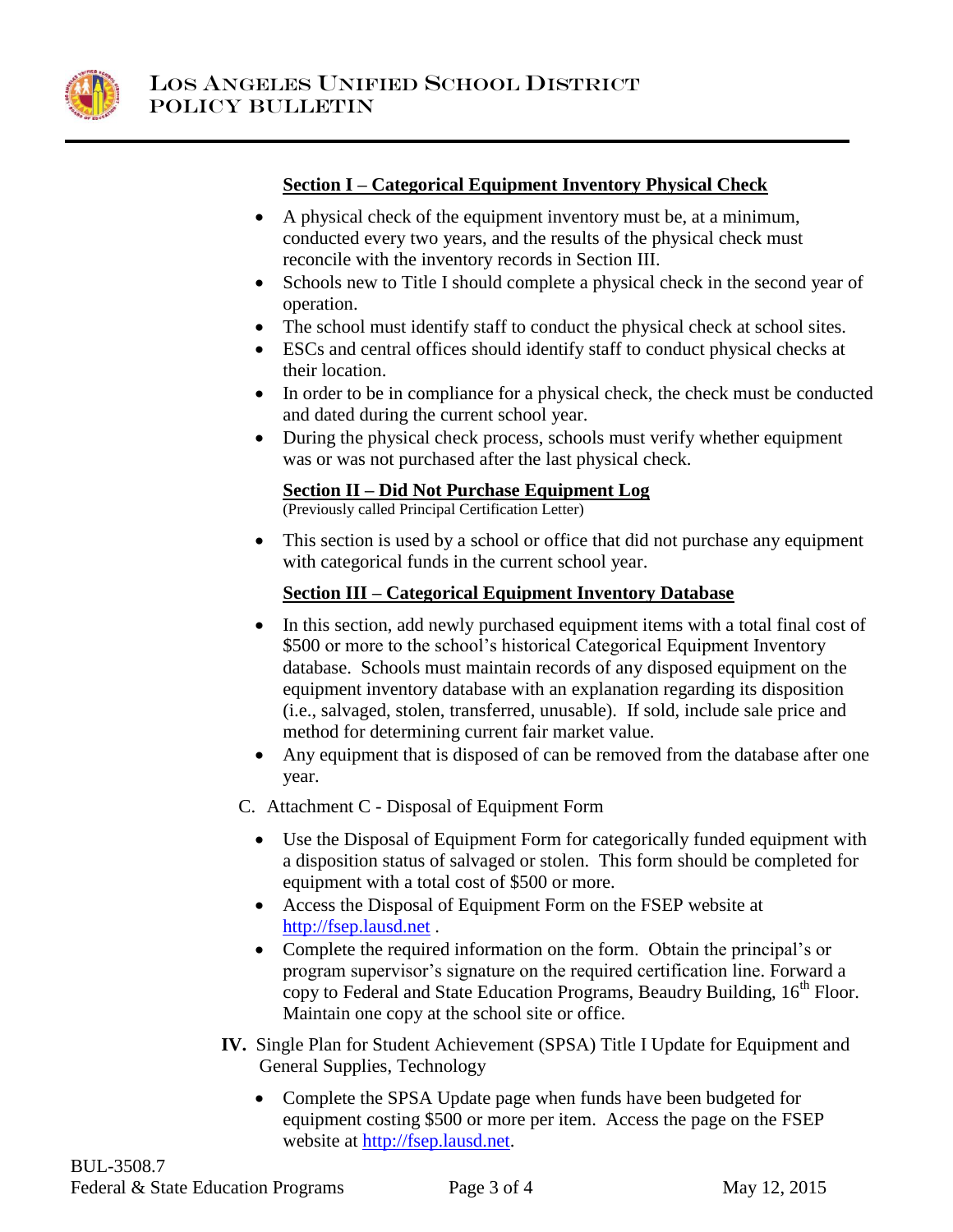

## **Section I – Categorical Equipment Inventory Physical Check**

- A physical check of the equipment inventory must be, at a minimum, conducted every two years, and the results of the physical check must reconcile with the inventory records in Section III.
- Schools new to Title I should complete a physical check in the second year of operation.
- The school must identify staff to conduct the physical check at school sites.
- ESCs and central offices should identify staff to conduct physical checks at their location.
- In order to be in compliance for a physical check, the check must be conducted and dated during the current school year.
- During the physical check process, schools must verify whether equipment was or was not purchased after the last physical check.

### **Section II – Did Not Purchase Equipment Log**

(Previously called Principal Certification Letter)

 This section is used by a school or office that did not purchase any equipment with categorical funds in the current school year.

# **Section III – Categorical Equipment Inventory Database**

- In this section, add newly purchased equipment items with a total final cost of \$500 or more to the school's historical Categorical Equipment Inventory database. Schools must maintain records of any disposed equipment on the equipment inventory database with an explanation regarding its disposition (i.e., salvaged, stolen, transferred, unusable). If sold, include sale price and method for determining current fair market value.
- Any equipment that is disposed of can be removed from the database after one year.
- C. Attachment C Disposal of Equipment Form
	- Use the Disposal of Equipment Form for categorically funded equipment with a disposition status of salvaged or stolen. This form should be completed for equipment with a total cost of \$500 or more.
	- Access the Disposal of Equipment Form on the FSEP website at [http://fsep.lausd.net](http://fsep.lausd.net/) .
	- Complete the required information on the form. Obtain the principal's or program supervisor's signature on the required certification line. Forward a copy to Federal and State Education Programs, Beaudry Building, 16<sup>th</sup> Floor. Maintain one copy at the school site or office.
- **IV.** Single Plan for Student Achievement (SPSA) Title I Update for Equipment and General Supplies, Technology
	- Complete the SPSA Update page when funds have been budgeted for equipment costing \$500 or more per item. Access the page on the FSEP website at [http://fsep.lausd.net.](http://fsep.lausd.net/)